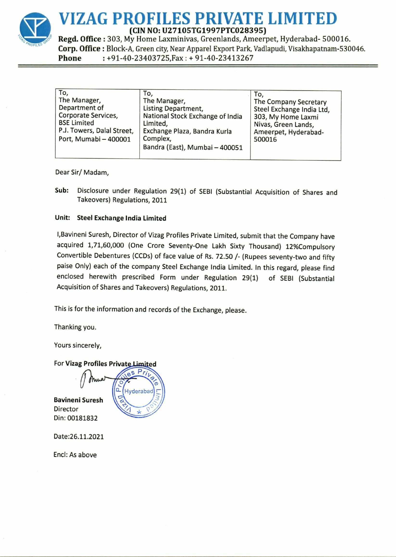

## VIZAG PROFILES PRIVATE LIMITED (CIN NO: U27105TG1997PTC028395)

Regd. Office : 303, My Home Laxminivas, Greenlands, Ameerpet, Hyderabad- 500016. VIZAG PROFILES<br>
Regd. Office : 303, My Home Laxminivas,<br>
Corp. Office : Block-A, Green city, Near App<br>
Phone : +91-40-23403725, Fax : +9 VIZAG PROFILES<br>
Regd. Office : 303, My Home Laxminivas,<br>
COP. Office : Block-A, Green city, Near App<br>
Phone : +91-40-23403725, Fax : +9 Corp. Office : Block-A, Green city, Near Apparel Export Park, Vadlapudi, Visakhapatnam-530046. VIZAG PROFILES<br>
(CIN NO: U27105TO<br>
Regd. Office : 303, My Home Laxminivas,<br>
Corp. Office : Block-A, Green city, Near App<br>
Phone : +91-40-23403725, Fax : +9 Phone : +91-40-23403725,Fax : + 91-40-23413267

| Phone                                                                                                                                    | : +91-40-23403725, Fax: +91-40-23413267                                                                                                                                                                                                                                                                                                                                                                                                                                                         |                                                                                                                                          |
|------------------------------------------------------------------------------------------------------------------------------------------|-------------------------------------------------------------------------------------------------------------------------------------------------------------------------------------------------------------------------------------------------------------------------------------------------------------------------------------------------------------------------------------------------------------------------------------------------------------------------------------------------|------------------------------------------------------------------------------------------------------------------------------------------|
| To,<br>The Manager,<br>Department of<br>Corporate Services,<br><b>BSE Limited</b><br>P.J. Towers, Dalal Street,<br>Port, Mumabi - 400001 | To,<br>The Manager,<br><b>Listing Department,</b><br>National Stock Exchange of India<br>Limited,<br>Exchange Plaza, Bandra Kurla<br>Complex,<br>Bandra (East), Mumbai - 400051                                                                                                                                                                                                                                                                                                                 | To,<br>The Company Secretary<br>Steel Exchange India Ltd,<br>303, My Home Laxmi<br>Nivas, Green Lands,<br>Ameerpet, Hyderabad-<br>500016 |
| Dear Sir/Madam,                                                                                                                          |                                                                                                                                                                                                                                                                                                                                                                                                                                                                                                 |                                                                                                                                          |
| Sub:<br>Takeovers) Regulations, 2011                                                                                                     | Disclosure under Regulation 29(1) of SEBI (Substantial Acquisition of Shares and                                                                                                                                                                                                                                                                                                                                                                                                                |                                                                                                                                          |
| Unit:<br><b>Steel Exchange India Limited</b>                                                                                             |                                                                                                                                                                                                                                                                                                                                                                                                                                                                                                 |                                                                                                                                          |
|                                                                                                                                          | I, Bavineni Suresh, Director of Vizag Profiles Private Limited, submit that the Company have<br>acquired 1,71,60,000 (One Crore Seventy-One Lakh Sixty Thousand) 12%Compulsory<br>Convertible Debentures (CCDs) of face value of Rs. 72.50 /- (Rupees seventy-two and fifty<br>paise Only) each of the company Steel Exchange India Limited. In this regard, please find<br>enclosed herewith prescribed Form under Regulation 29(1)<br>Acquisition of Shares and Takeovers) Regulations, 2011. | of SEBI (Substantial                                                                                                                     |
|                                                                                                                                          | This is for the information and records of the Exchange, please.                                                                                                                                                                                                                                                                                                                                                                                                                                |                                                                                                                                          |
| Thanking you.                                                                                                                            |                                                                                                                                                                                                                                                                                                                                                                                                                                                                                                 |                                                                                                                                          |
| Yours sincerely,                                                                                                                         |                                                                                                                                                                                                                                                                                                                                                                                                                                                                                                 |                                                                                                                                          |
| For Vizag Profiles Private Limited<br>O<br><b>Bavineni Suresh</b><br>Director<br>Din: 00181832                                           | <b>Hyderabad</b>                                                                                                                                                                                                                                                                                                                                                                                                                                                                                |                                                                                                                                          |
| Date:26.11.2021                                                                                                                          |                                                                                                                                                                                                                                                                                                                                                                                                                                                                                                 |                                                                                                                                          |
| Encl: As above                                                                                                                           |                                                                                                                                                                                                                                                                                                                                                                                                                                                                                                 |                                                                                                                                          |
|                                                                                                                                          |                                                                                                                                                                                                                                                                                                                                                                                                                                                                                                 |                                                                                                                                          |

## Unit: Steel Exchange India Limited

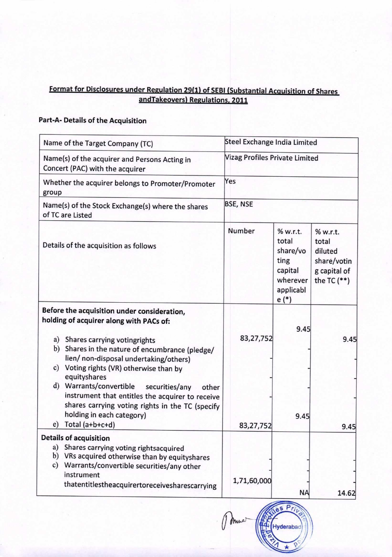## Format for Disclosures under Regulation 29(1) of SEBI (Substantial Acquisition of Shares andTakeovers) Regulations, 2011 Format for Disclosures under Regulation 29(1<br>andTakeovers) Regulation<br>Part-A- Details of the Acquisition

## Part-A- Details of the Acquisition

| Format for Disclosures under Regulation 29(1) of SEBI (Substantial Acquisition of Shares<br>andTakeovers) Regulations, 2011                             |                                |                                                                                     |                                                                              |
|---------------------------------------------------------------------------------------------------------------------------------------------------------|--------------------------------|-------------------------------------------------------------------------------------|------------------------------------------------------------------------------|
| Part-A- Details of the Acquisition                                                                                                                      |                                |                                                                                     |                                                                              |
| Name of the Target Company (TC)                                                                                                                         | Steel Exchange India Limited   |                                                                                     |                                                                              |
| Name(s) of the acquirer and Persons Acting in                                                                                                           | Vizag Profiles Private Limited |                                                                                     |                                                                              |
| Concert (PAC) with the acquirer<br>Whether the acquirer belongs to Promoter/Promoter                                                                    | Yes                            |                                                                                     |                                                                              |
| group                                                                                                                                                   |                                |                                                                                     |                                                                              |
| Name(s) of the Stock Exchange(s) where the shares<br>of TC are Listed                                                                                   | <b>BSE, NSE</b>                |                                                                                     |                                                                              |
| Details of the acquisition as follows                                                                                                                   | <b>Number</b>                  | % w.r.t.<br>total<br>share/vo<br>ting<br>capital<br>wherever<br>applicabl<br>$e(*)$ | % w.r.t.<br>total<br>diluted<br>share/votin<br>g capital of<br>the TC $(**)$ |
| Before the acquisition under consideration,<br>holding of acquirer along with PACs of:                                                                  |                                | 9.45                                                                                |                                                                              |
| a) Shares carrying votingrights<br>b) Shares in the nature of encumbrance (pledge/<br>lien/ non-disposal undertaking/others)                            | 83,27,752                      |                                                                                     | 9.45                                                                         |
| c) Voting rights (VR) otherwise than by<br>equityshares                                                                                                 |                                |                                                                                     |                                                                              |
| d) Warrants/convertible securities/any<br>other<br>instrument that entitles the acquirer to receive<br>shares carrying voting rights in the TC (specify |                                |                                                                                     |                                                                              |
| holding in each category)<br>Total (a+b+c+d)<br>e)                                                                                                      | 83,27,752                      | 9.45                                                                                | 9.45                                                                         |
| <b>Details of acquisition</b>                                                                                                                           |                                |                                                                                     |                                                                              |
| Shares carrying voting rightsacquired<br>a)<br>b)<br>VRs acquired otherwise than by equityshares                                                        |                                |                                                                                     |                                                                              |
| Warrants/convertible securities/any other<br>c)<br>instrument                                                                                           | 1,71,60,000                    |                                                                                     |                                                                              |
| thatentitlestheacquirertoreceivesharescarrying                                                                                                          |                                | <b>NA</b>                                                                           | 14.62                                                                        |

Pomma 1 Hyderabad

 $\overline{P_{I/I}}$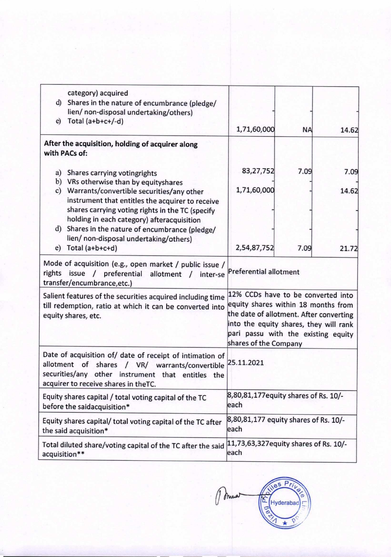|                                                                                                                                                                                                                                                                                                                                                                                | $\sim$                                                                                                                                                                                                                         |                                       |               |  |
|--------------------------------------------------------------------------------------------------------------------------------------------------------------------------------------------------------------------------------------------------------------------------------------------------------------------------------------------------------------------------------|--------------------------------------------------------------------------------------------------------------------------------------------------------------------------------------------------------------------------------|---------------------------------------|---------------|--|
| hn,<br>- 25<br>$E_{1.00}$<br>والتوا<br>it yn<br>ģ.<br>on the<br>$\geq$<br><b>Sec.</b>                                                                                                                                                                                                                                                                                          |                                                                                                                                                                                                                                |                                       |               |  |
| category) acquired<br>d)<br>Shares in the nature of encumbrance (pledge/<br>lien/ non-disposal undertaking/others)<br>Total $(a+b+c+/-d)$<br>e)                                                                                                                                                                                                                                | 1,71,60,000                                                                                                                                                                                                                    | <b>NA</b>                             | 14.62         |  |
| After the acquisition, holding of acquirer along<br>with PACs of:                                                                                                                                                                                                                                                                                                              |                                                                                                                                                                                                                                |                                       |               |  |
| a) Shares carrying votingrights<br>b) VRs otherwise than by equityshares<br>Warrants/convertible securities/any other<br>c)<br>instrument that entitles the acquirer to receive<br>shares carrying voting rights in the TC (specify<br>holding in each category) afteracquisition<br>d) Shares in the nature of encumbrance (pledge/<br>lien/ non-disposal undertaking/others) | 83,27,752<br>1,71,60,000                                                                                                                                                                                                       | 7.09                                  | 7.09<br>14.62 |  |
| $e)$ Total (a+b+c+d)<br>Mode of acquisition (e.g., open market / public issue /<br>rights issue / preferential allotment /<br>inter-se<br>transfer/encumbrance, etc.)                                                                                                                                                                                                          | 2,54,87,752<br><b>Preferential allotment</b>                                                                                                                                                                                   | 7.09                                  | 21.72         |  |
| Salient features of the securities acquired including time<br>till redemption, ratio at which it can be converted into<br>equity shares, etc.                                                                                                                                                                                                                                  | 12% CCDs have to be converted into<br>equity shares within 18 months from<br>the date of allotment. After converting<br>into the equity shares, they will rank<br>pari passu with the existing equity<br>shares of the Company |                                       |               |  |
| Date of acquisition of/ date of receipt of intimation of<br>allotment of shares / VR/ warrants/convertible<br>securities/any<br>other instrument that entitles the<br>acquirer to receive shares in theTC.                                                                                                                                                                     | 25.11.2021                                                                                                                                                                                                                     |                                       |               |  |
| Equity shares capital / total voting capital of the TC<br>before the saidacquisition*                                                                                                                                                                                                                                                                                          | 8,80,81,177 equity shares of Rs. 10/-<br>each                                                                                                                                                                                  |                                       |               |  |
| Equity shares capital/ total voting capital of the TC after<br>the said acquisition*                                                                                                                                                                                                                                                                                           | 8,80,81,177 equity shares of Rs. 10/-<br>each                                                                                                                                                                                  |                                       |               |  |
| Total diluted share/voting capital of the TC after the said<br>acquisition**                                                                                                                                                                                                                                                                                                   | each                                                                                                                                                                                                                           | 11,73,63,327equity shares of Rs. 10/- |               |  |
|                                                                                                                                                                                                                                                                                                                                                                                | íδ                                                                                                                                                                                                                             | Hyderabad                             |               |  |